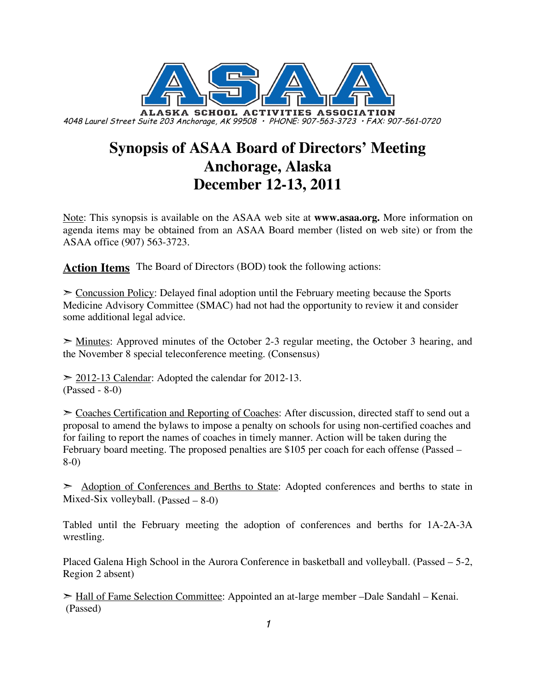

# **Synopsis of ASAA Board of Directors' Meeting Anchorage, Alaska December 12-13, 2011**

Note: This synopsis is available on the ASAA web site at **www.asaa.org.** More information on agenda items may be obtained from an ASAA Board member (listed on web site) or from the ASAA office (907) 563-3723.

**Action Items** The Board of Directors (BOD) took the following actions:

 $\geq$  Concussion Policy: Delayed final adoption until the February meeting because the Sports Medicine Advisory Committee (SMAC) had not had the opportunity to review it and consider some additional legal advice.

➣ Minutes: Approved minutes of the October 2-3 regular meeting, the October 3 hearing, and the November 8 special teleconference meeting. (Consensus)

 $\geq$  2012-13 Calendar: Adopted the calendar for 2012-13. (Passed - 8-0)

➣ Coaches Certification and Reporting of Coaches: After discussion, directed staff to send out a proposal to amend the bylaws to impose a penalty on schools for using non-certified coaches and for failing to report the names of coaches in timely manner. Action will be taken during the February board meeting. The proposed penalties are \$105 per coach for each offense (Passed – 8-0)

➣ Adoption of Conferences and Berths to State: Adopted conferences and berths to state in Mixed-Six volleyball.  $(Pl 8-0)$ 

Tabled until the February meeting the adoption of conferences and berths for 1A-2A-3A wrestling.

Placed Galena High School in the Aurora Conference in basketball and volleyball. (Passed – 5-2, Region 2 absent)

➣ Hall of Fame Selection Committee: Appointed an at-large member –Dale Sandahl – Kenai. (Passed)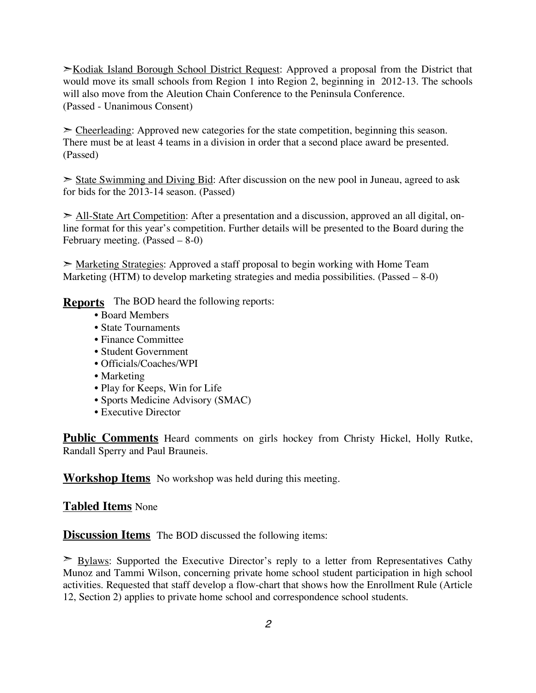►Kodiak Island Borough School District Request: Approved a proposal from the District that would move its small schools from Region 1 into Region 2, beginning in 2012-13. The schools will also move from the Aleution Chain Conference to the Peninsula Conference. (Passed - Unanimous Consent)

 $\geq$  Cheerleading: Approved new categories for the state competition, beginning this season. There must be at least 4 teams in a division in order that a second place award be presented. (Passed)

 $\geq$  State Swimming and Diving Bid: After discussion on the new pool in Juneau, agreed to ask for bids for the 2013-14 season. (Passed)

➣ All-State Art Competition: After a presentation and a discussion, approved an all digital, online format for this year's competition. Further details will be presented to the Board during the February meeting. (Passed – 8-0)

► Marketing Strategies: Approved a staff proposal to begin working with Home Team Marketing (HTM) to develop marketing strategies and media possibilities. (Passed  $-8-0$ )

**Reports** The BOD heard the following reports:

- Board Members
- State Tournaments
- Finance Committee
- Student Government
- Officials/Coaches/WPI
- Marketing
- Play for Keeps, Win for Life
- Sports Medicine Advisory (SMAC)
- Executive Director

**Public Comments** Heard comments on girls hockey from Christy Hickel, Holly Rutke, Randall Sperry and Paul Brauneis.

**Workshop Items** No workshop was held during this meeting.

#### **Tabled Items** None

**Discussion Items** The BOD discussed the following items:

 $\geq$  Bylaws: Supported the Executive Director's reply to a letter from Representatives Cathy Munoz and Tammi Wilson, concerning private home school student participation in high school activities. Requested that staff develop a flow-chart that shows how the Enrollment Rule (Article 12, Section 2) applies to private home school and correspondence school students.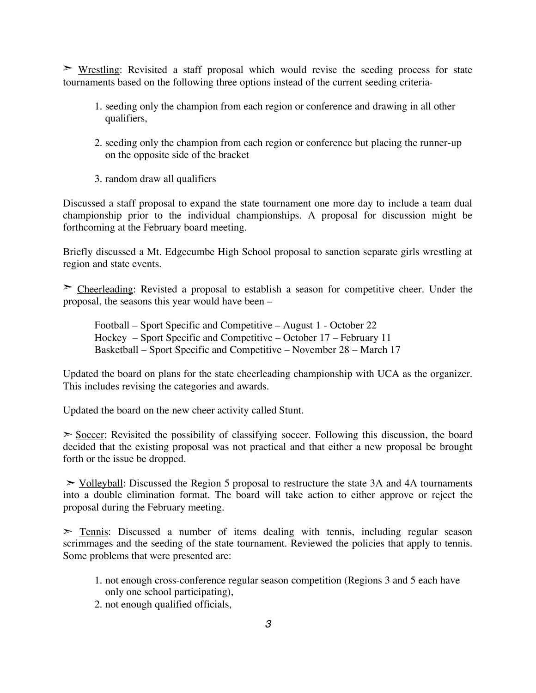$\triangleright$  Wrestling: Revisited a staff proposal which would revise the seeding process for state tournaments based on the following three options instead of the current seeding criteria-

- 1. seeding only the champion from each region or conference and drawing in all other qualifiers,
- 2. seeding only the champion from each region or conference but placing the runner-up on the opposite side of the bracket
- 3. random draw all qualifiers

Discussed a staff proposal to expand the state tournament one more day to include a team dual championship prior to the individual championships. A proposal for discussion might be forthcoming at the February board meeting.

Briefly discussed a Mt. Edgecumbe High School proposal to sanction separate girls wrestling at region and state events.

 $\geq$  Cheerleading: Revisted a proposal to establish a season for competitive cheer. Under the proposal, the seasons this year would have been –

Football – Sport Specific and Competitive – August 1 - October 22 Hockey – Sport Specific and Competitive – October 17 – February 11 Basketball – Sport Specific and Competitive – November 28 – March 17

Updated the board on plans for the state cheerleading championship with UCA as the organizer. This includes revising the categories and awards.

Updated the board on the new cheer activity called Stunt.

 $\geq$  Soccer: Revisited the possibility of classifying soccer. Following this discussion, the board decided that the existing proposal was not practical and that either a new proposal be brought forth or the issue be dropped.

 $\ge$  Volleyball: Discussed the Region 5 proposal to restructure the state 3A and 4A tournaments into a double elimination format. The board will take action to either approve or reject the proposal during the February meeting.

 $\geq$  Tennis: Discussed a number of items dealing with tennis, including regular season scrimmages and the seeding of the state tournament. Reviewed the policies that apply to tennis. Some problems that were presented are:

- 1. not enough cross-conference regular season competition (Regions 3 and 5 each have only one school participating),
- 2. not enough qualified officials,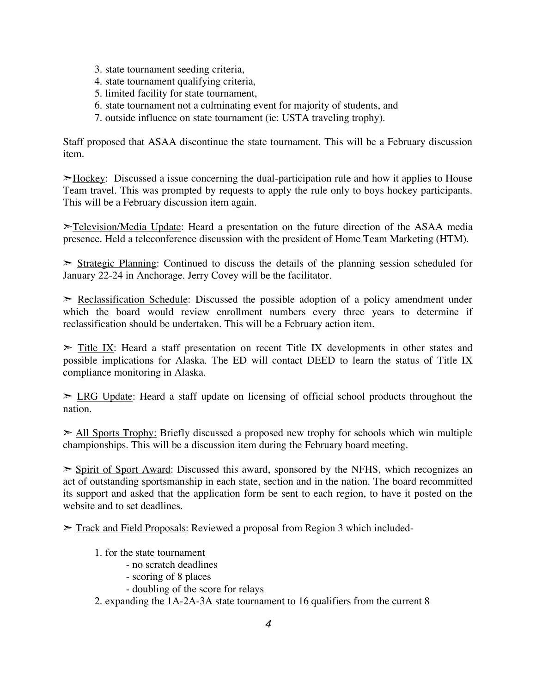- 3. state tournament seeding criteria,
- 4. state tournament qualifying criteria,
- 5. limited facility for state tournament,
- 6. state tournament not a culminating event for majority of students, and
- 7. outside influence on state tournament (ie: USTA traveling trophy).

Staff proposed that ASAA discontinue the state tournament. This will be a February discussion item.

➣Hockey: Discussed a issue concerning the dual-participation rule and how it applies to House Team travel. This was prompted by requests to apply the rule only to boys hockey participants. This will be a February discussion item again.

➣Television/Media Update: Heard a presentation on the future direction of the ASAA media presence. Held a teleconference discussion with the president of Home Team Marketing (HTM).

 $\geq$  Strategic Planning: Continued to discuss the details of the planning session scheduled for January 22-24 in Anchorage. Jerry Covey will be the facilitator.

 $\geq$  Reclassification Schedule: Discussed the possible adoption of a policy amendment under which the board would review enrollment numbers every three years to determine if reclassification should be undertaken. This will be a February action item.

 $\geq$  Title IX: Heard a staff presentation on recent Title IX developments in other states and possible implications for Alaska. The ED will contact DEED to learn the status of Title IX compliance monitoring in Alaska.

➣ LRG Update: Heard a staff update on licensing of official school products throughout the nation.

► All Sports Trophy: Briefly discussed a proposed new trophy for schools which win multiple championships. This will be a discussion item during the February board meeting.

 $\geq$  Spirit of Sport Award: Discussed this award, sponsored by the NFHS, which recognizes an act of outstanding sportsmanship in each state, section and in the nation. The board recommitted its support and asked that the application form be sent to each region, to have it posted on the website and to set deadlines.

➣ Track and Field Proposals: Reviewed a proposal from Region 3 which included-

- 1. for the state tournament
	- no scratch deadlines
	- scoring of 8 places
	- doubling of the score for relays
- 2. expanding the 1A-2A-3A state tournament to 16 qualifiers from the current 8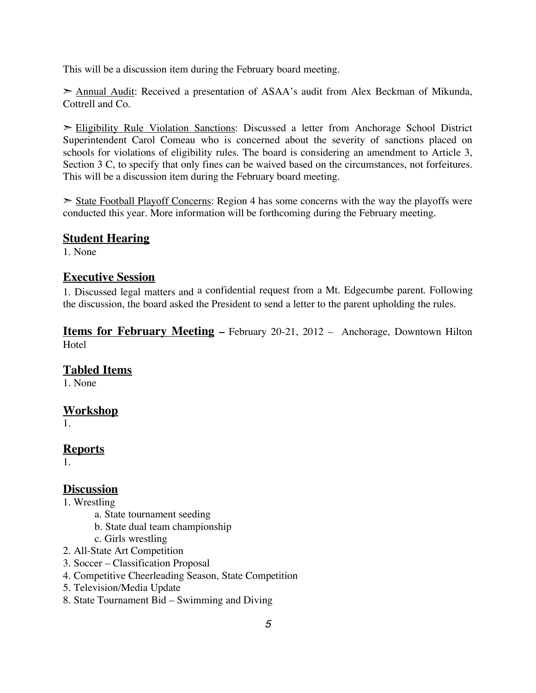This will be a discussion item during the February board meeting.

➣ Annual Audit: Received a presentation of ASAA's audit from Alex Beckman of Mikunda, Cottrell and Co.

➣ Eligibility Rule Violation Sanctions: Discussed a letter from Anchorage School District Superintendent Carol Comeau who is concerned about the severity of sanctions placed on schools for violations of eligibility rules. The board is considering an amendment to Article 3, Section 3 C, to specify that only fines can be waived based on the circumstances, not forfeitures. This will be a discussion item during the February board meeting.

 $\geq$  State Football Playoff Concerns: Region 4 has some concerns with the way the playoffs were conducted this year. More information will be forthcoming during the February meeting.

#### **Student Hearing**

1. None

#### **Executive Session**

1. Discussed legal matters and a confidential request from a Mt. Edgecumbe parent. Following the discussion, the board asked the President to send a letter to the parent upholding the rules.

**Items for February Meeting –** February 20-21, 2012 – Anchorage, Downtown Hilton **Hotel** 

### **Tabled Items**

1. None

### **Workshop**

1.

## **Reports**

1.

### **Discussion**

- 1. Wrestling
	- a. State tournament seeding
	- b. State dual team championship
	- c. Girls wrestling
- 2. All-State Art Competition
- 3. Soccer Classification Proposal
- 4. Competitive Cheerleading Season, State Competition
- 5. Television/Media Update
- 8. State Tournament Bid Swimming and Diving